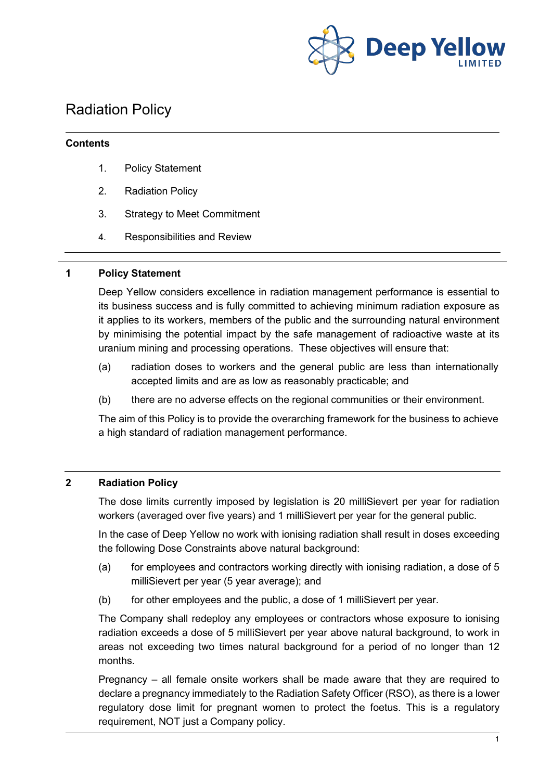

# Radiation Policy

#### **Contents**

- 1. Policy Statement
- 2. Radiation Policy
- 3. Strategy to Meet Commitment
- 4. Responsibilities and Review

#### **1 Policy Statement**

Deep Yellow considers excellence in radiation management performance is essential to its business success and is fully committed to achieving minimum radiation exposure as it applies to its workers, members of the public and the surrounding natural environment by minimising the potential impact by the safe management of radioactive waste at its uranium mining and processing operations. These objectives will ensure that:

- (a) radiation doses to workers and the general public are less than internationally accepted limits and are as low as reasonably practicable; and
- (b) there are no adverse effects on the regional communities or their environment.

The aim of this Policy is to provide the overarching framework for the business to achieve a high standard of radiation management performance.

# **2 Radiation Policy**

The dose limits currently imposed by legislation is 20 milliSievert per year for radiation workers (averaged over five years) and 1 milliSievert per year for the general public.

In the case of Deep Yellow no work with ionising radiation shall result in doses exceeding the following Dose Constraints above natural background:

- (a) for employees and contractors working directly with ionising radiation, a dose of 5 milliSievert per year (5 year average); and
- (b) for other employees and the public, a dose of 1 milliSievert per year.

The Company shall redeploy any employees or contractors whose exposure to ionising radiation exceeds a dose of 5 milliSievert per year above natural background, to work in areas not exceeding two times natural background for a period of no longer than 12 months.

Pregnancy – all female onsite workers shall be made aware that they are required to declare a pregnancy immediately to the Radiation Safety Officer (RSO), as there is a lower regulatory dose limit for pregnant women to protect the foetus. This is a regulatory requirement, NOT just a Company policy.